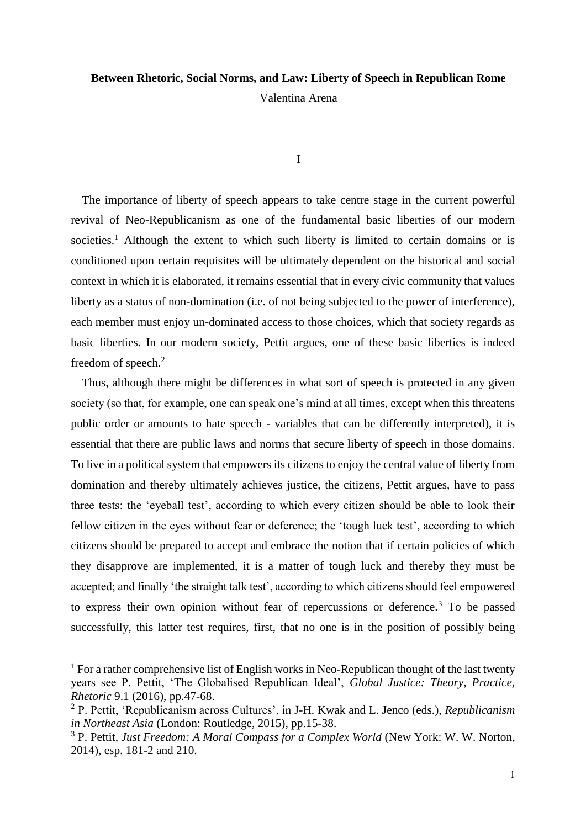## **Between Rhetoric, Social Norms, and Law: Liberty of Speech in Republican Rome**

Valentina Arena

I

The importance of liberty of speech appears to take centre stage in the current powerful revival of Neo-Republicanism as one of the fundamental basic liberties of our modern societies.<sup>1</sup> Although the extent to which such liberty is limited to certain domains or is conditioned upon certain requisites will be ultimately dependent on the historical and social context in which it is elaborated, it remains essential that in every civic community that values liberty as a status of non-domination (i.e. of not being subjected to the power of interference), each member must enjoy un-dominated access to those choices, which that society regards as basic liberties. In our modern society, Pettit argues, one of these basic liberties is indeed freedom of speech.<sup>2</sup>

Thus, although there might be differences in what sort of speech is protected in any given society (so that, for example, one can speak one's mind at all times, except when this threatens public order or amounts to hate speech - variables that can be differently interpreted), it is essential that there are public laws and norms that secure liberty of speech in those domains. To live in a political system that empowers its citizens to enjoy the central value of liberty from domination and thereby ultimately achieves justice, the citizens, Pettit argues, have to pass three tests: the 'eyeball test', according to which every citizen should be able to look their fellow citizen in the eyes without fear or deference; the 'tough luck test', according to which citizens should be prepared to accept and embrace the notion that if certain policies of which they disapprove are implemented, it is a matter of tough luck and thereby they must be accepted; and finally 'the straight talk test', according to which citizens should feel empowered to express their own opinion without fear of repercussions or deference.<sup>3</sup> To be passed successfully, this latter test requires, first, that no one is in the position of possibly being

<sup>&</sup>lt;sup>1</sup> For a rather comprehensive list of English works in Neo-Republican thought of the last twenty years see P. Pettit, 'The Globalised Republican Ideal', *Global Justice: Theory, Practice, Rhetoric* 9.1 (2016), pp.47-68.

<sup>2</sup> P. Pettit, 'Republicanism across Cultures', in J-H. Kwak and L. Jenco (eds.), *Republicanism in Northeast Asia* (London: Routledge, 2015), pp.15-38.

<sup>3</sup> P. Pettit, *Just Freedom: A Moral Compass for a Complex World* (New York: W. W. Norton, 2014), esp. 181-2 and 210.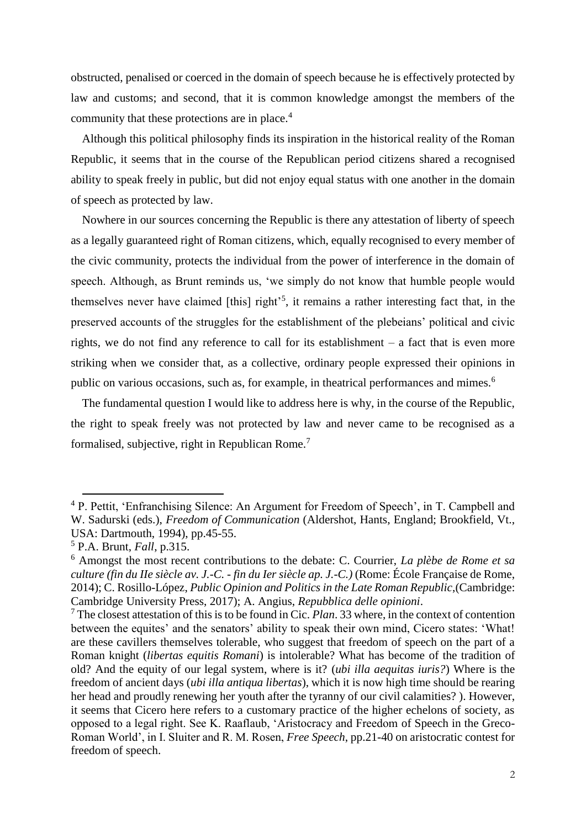obstructed, penalised or coerced in the domain of speech because he is effectively protected by law and customs; and second, that it is common knowledge amongst the members of the community that these protections are in place.<sup>4</sup>

Although this political philosophy finds its inspiration in the historical reality of the Roman Republic, it seems that in the course of the Republican period citizens shared a recognised ability to speak freely in public, but did not enjoy equal status with one another in the domain of speech as protected by law.

Nowhere in our sources concerning the Republic is there any attestation of liberty of speech as a legally guaranteed right of Roman citizens, which, equally recognised to every member of the civic community, protects the individual from the power of interference in the domain of speech. Although, as Brunt reminds us, 'we simply do not know that humble people would themselves never have claimed [this] right<sup>55</sup>, it remains a rather interesting fact that, in the preserved accounts of the struggles for the establishment of the plebeians' political and civic rights, we do not find any reference to call for its establishment – a fact that is even more striking when we consider that, as a collective, ordinary people expressed their opinions in public on various occasions, such as, for example, in theatrical performances and mimes.<sup>6</sup>

The fundamental question I would like to address here is why, in the course of the Republic, the right to speak freely was not protected by law and never came to be recognised as a formalised, subjective, right in Republican Rome.<sup>7</sup>

<sup>4</sup> P. Pettit, 'Enfranchising Silence: An Argument for Freedom of Speech', in T. Campbell and W. Sadurski (eds.), *Freedom of Communication* (Aldershot, Hants, England; Brookfield, Vt., USA: Dartmouth, 1994), pp.45-55.

<sup>5</sup> P.A. Brunt, *Fall*, p.315.

<sup>6</sup> Amongst the most recent contributions to the debate: C. Courrier, *La plèbe de Rome et sa culture (fin du IIe siècle av. J.-C. - fin du Ier siècle ap. J.-C.)* (Rome: École Française de Rome, 2014); C. Rosillo-López, *Public Opinion and Politics in the Late Roman Republic*,(Cambridge: Cambridge University Press, 2017); A. Angius, *Repubblica delle opinioni*.

<sup>7</sup> The closest attestation of this is to be found in Cic. *Plan*. 33 where, in the context of contention between the equites' and the senators' ability to speak their own mind, Cicero states: 'What! are these cavillers themselves tolerable, who suggest that freedom of speech on the part of a Roman knight (*libertas equitis Romani*) is intolerable? What has become of the tradition of old? And the equity of our legal system, where is it? (*ubi illa aequitas iuris?*) Where is the freedom of ancient days (*ubi illa antiqua libertas*), which it is now high time should be rearing her head and proudly renewing her youth after the tyranny of our civil calamities? ). However, it seems that Cicero here refers to a customary practice of the higher echelons of society, as opposed to a legal right. See K. Raaflaub, 'Aristocracy and Freedom of Speech in the Greco-Roman World', in I. Sluiter and R. M. Rosen, *Free Speech*, pp.21-40 on aristocratic contest for freedom of speech.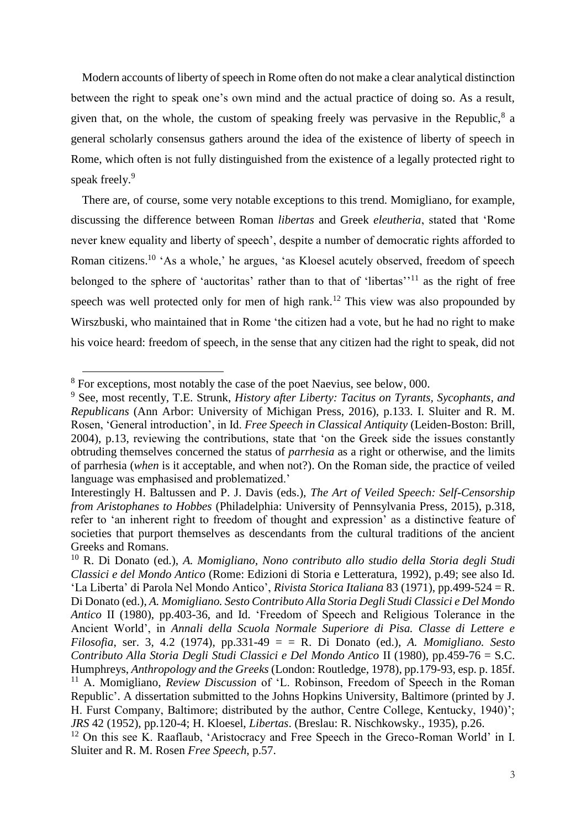Modern accounts of liberty of speech in Rome often do not make a clear analytical distinction between the right to speak one's own mind and the actual practice of doing so. As a result, given that, on the whole, the custom of speaking freely was pervasive in the Republic, $8$  a general scholarly consensus gathers around the idea of the existence of liberty of speech in Rome, which often is not fully distinguished from the existence of a legally protected right to speak freely.<sup>9</sup>

There are, of course, some very notable exceptions to this trend. Momigliano, for example, discussing the difference between Roman *libertas* and Greek *eleutheria*, stated that 'Rome never knew equality and liberty of speech', despite a number of democratic rights afforded to Roman citizens.<sup>10</sup> 'As a whole,' he argues, 'as Kloesel acutely observed, freedom of speech belonged to the sphere of 'auctoritas' rather than to that of 'libertas'<sup>11</sup> as the right of free speech was well protected only for men of high rank.<sup>12</sup> This view was also propounded by Wirszbuski, who maintained that in Rome 'the citizen had a vote, but he had no right to make his voice heard: freedom of speech, in the sense that any citizen had the right to speak, did not

 $8$  For exceptions, most notably the case of the poet Naevius, see below, 000.

<sup>9</sup> See, most recently, T.E. Strunk, *History after Liberty: Tacitus on Tyrants, Sycophants, and Republicans* (Ann Arbor: University of Michigan Press, 2016), p.133. I. Sluiter and R. M. Rosen, 'General introduction', in Id. *Free Speech in Classical Antiquity* (Leiden-Boston: Brill, 2004), p.13, reviewing the contributions, state that 'on the Greek side the issues constantly obtruding themselves concerned the status of *parrhesia* as a right or otherwise, and the limits of parrhesia (*when* is it acceptable, and when not?). On the Roman side, the practice of veiled language was emphasised and problematized.'

Interestingly H. Baltussen and P. J. Davis (eds.), *The Art of Veiled Speech: Self-Censorship from Aristophanes to Hobbes* (Philadelphia: University of Pennsylvania Press, 2015), p.318, refer to 'an inherent right to freedom of thought and expression' as a distinctive feature of societies that purport themselves as descendants from the cultural traditions of the ancient Greeks and Romans.

<sup>10</sup> R. Di Donato (ed.), *A. Momigliano, Nono contributo allo studio della Storia degli Studi Classici e del Mondo Antico* (Rome: Edizioni di Storia e Letteratura, 1992), p.49; see also Id. 'La Liberta' di Parola Nel Mondo Antico', *Rivista Storica Italiana* 83 (1971), pp.499-524 = R. Di Donato (ed.), *A. Momigliano. Sesto Contributo Alla Storia Degli Studi Classici e Del Mondo Antico* II (1980), pp.403-36, and Id. 'Freedom of Speech and Religious Tolerance in the Ancient World', in *Annali della Scuola Normale Superiore di Pisa. Classe di Lettere e Filosofia*, ser. 3, 4.2 (1974), pp.331-49 = = R. Di Donato (ed.), *A. Momigliano. Sesto Contributo Alla Storia Degli Studi Classici e Del Mondo Antico* II (1980), pp.459-76 = S.C. Humphreys, *Anthropology and the Greeks* (London: Routledge, 1978), pp.179-93, esp. p. 185f. <sup>11</sup> A. Momigliano, *Review Discussion* of 'L. Robinson, Freedom of Speech in the Roman Republic'. A dissertation submitted to the Johns Hopkins University, Baltimore (printed by J. H. Furst Company, Baltimore; distributed by the author, Centre College, Kentucky, 1940)'; *JRS* 42 (1952), pp.120-4; H. Kloesel, *Libertas*. (Breslau: R. Nischkowsky., 1935), p.26. <sup>12</sup> On this see K. Raaflaub, 'Aristocracy and Free Speech in the Greco-Roman World' in I.

Sluiter and R. M. Rosen *Free Speech*, p.57.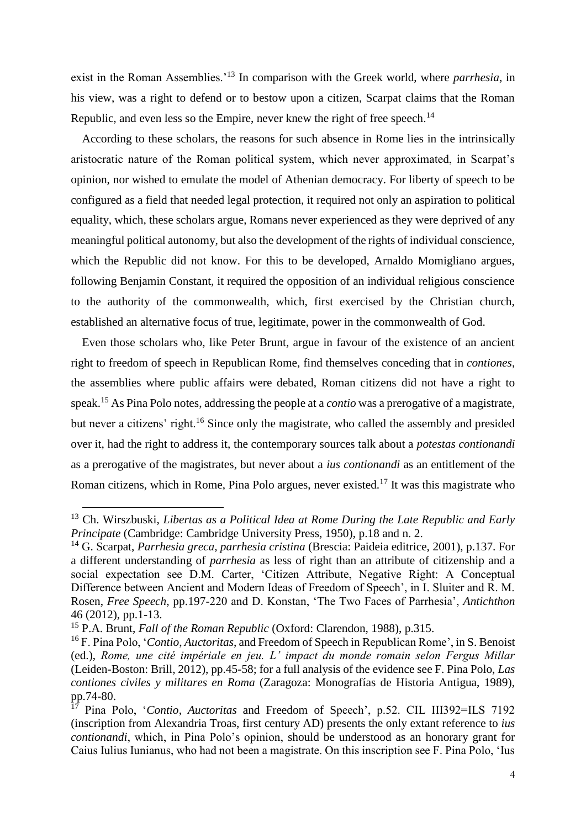exist in the Roman Assemblies.'<sup>13</sup> In comparison with the Greek world, where *parrhesia*, in his view, was a right to defend or to bestow upon a citizen, Scarpat claims that the Roman Republic, and even less so the Empire, never knew the right of free speech.<sup>14</sup>

According to these scholars, the reasons for such absence in Rome lies in the intrinsically aristocratic nature of the Roman political system, which never approximated, in Scarpat's opinion, nor wished to emulate the model of Athenian democracy. For liberty of speech to be configured as a field that needed legal protection, it required not only an aspiration to political equality, which, these scholars argue, Romans never experienced as they were deprived of any meaningful political autonomy, but also the development of the rights of individual conscience, which the Republic did not know. For this to be developed, Arnaldo Momigliano argues, following Benjamin Constant, it required the opposition of an individual religious conscience to the authority of the commonwealth, which, first exercised by the Christian church, established an alternative focus of true, legitimate, power in the commonwealth of God.

Even those scholars who, like Peter Brunt, argue in favour of the existence of an ancient right to freedom of speech in Republican Rome, find themselves conceding that in *contiones*, the assemblies where public affairs were debated, Roman citizens did not have a right to speak.<sup>15</sup> As Pina Polo notes, addressing the people at a *contio* was a prerogative of a magistrate, but never a citizens' right.<sup>16</sup> Since only the magistrate, who called the assembly and presided over it, had the right to address it, the contemporary sources talk about a *potestas contionandi*  as a prerogative of the magistrates, but never about a *ius contionandi* as an entitlement of the Roman citizens, which in Rome, Pina Polo argues, never existed.<sup>17</sup> It was this magistrate who

<sup>13</sup> Ch. Wirszbuski, *Libertas as a Political Idea at Rome During the Late Republic and Early Principate* (Cambridge: Cambridge University Press, 1950), p.18 and n. 2.

<sup>14</sup> G. Scarpat, *Parrhesia greca, parrhesia cristina* (Brescia: Paideia editrice, 2001), p.137. For a different understanding of *parrhesia* as less of right than an attribute of citizenship and a social expectation see D.M. Carter, 'Citizen Attribute, Negative Right: A Conceptual Difference between Ancient and Modern Ideas of Freedom of Speech', in I. Sluiter and R. M. Rosen, *Free Speech*, pp.197-220 and D. Konstan, 'The Two Faces of Parrhesia', *Antichthon* 46 (2012), pp.1-13.

<sup>15</sup> P.A. Brunt, *Fall of the Roman Republic* (Oxford: Clarendon, 1988), p.315.

<sup>16</sup> F. Pina Polo, '*Contio*, *Auctoritas*, and Freedom of Speech in Republican Rome', in S. Benoist (ed.), *Rome, une cité impériale en jeu. L' impact du monde romain selon Fergus Millar* (Leiden-Boston: Brill, 2012), pp.45-58; for a full analysis of the evidence see F. Pina Polo, *Las contiones civiles y militares en Roma* (Zaragoza: Monografías de Historia Antigua, 1989), pp.74-80.

<sup>17</sup> Pina Polo, '*Contio*, *Auctoritas* and Freedom of Speech', p.52. CIL III392=ILS 7192 (inscription from Alexandria Troas, first century AD) presents the only extant reference to *ius contionandi*, which, in Pina Polo's opinion, should be understood as an honorary grant for Caius Iulius Iunianus, who had not been a magistrate. On this inscription see F. Pina Polo, 'Ius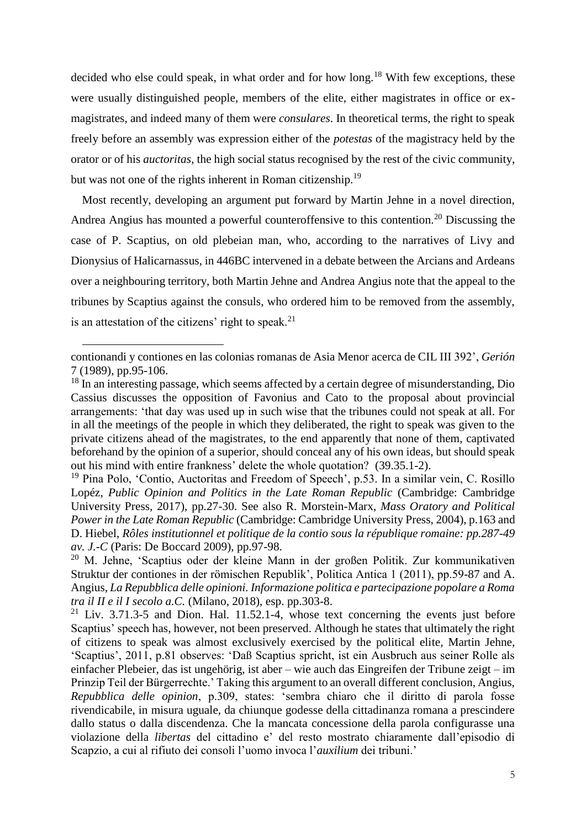decided who else could speak, in what order and for how long.<sup>18</sup> With few exceptions, these were usually distinguished people, members of the elite, either magistrates in office or exmagistrates, and indeed many of them were *consulares*. In theoretical terms, the right to speak freely before an assembly was expression either of the *potestas* of the magistracy held by the orator or of his *auctoritas*, the high social status recognised by the rest of the civic community, but was not one of the rights inherent in Roman citizenship.<sup>19</sup>

Most recently, developing an argument put forward by Martin Jehne in a novel direction, Andrea Angius has mounted a powerful counteroffensive to this contention.<sup>20</sup> Discussing the case of P. Scaptius, on old plebeian man, who, according to the narratives of Livy and Dionysius of Halicarnassus, in 446BC intervened in a debate between the Arcians and Ardeans over a neighbouring territory, both Martin Jehne and Andrea Angius note that the appeal to the tribunes by Scaptius against the consuls, who ordered him to be removed from the assembly, is an attestation of the citizens' right to speak.<sup>21</sup>

contionandi y contiones en las colonias romanas de Asia Menor acerca de CIL III 392', *Gerión* 7 (1989), pp.95-106.

<sup>&</sup>lt;sup>18</sup> In an interesting passage, which seems affected by a certain degree of misunderstanding, Dio Cassius discusses the opposition of Favonius and Cato to the proposal about provincial arrangements: 'that day was used up in such wise that the tribunes could not speak at all. For in all the meetings of the people in which they deliberated, the right to speak was given to the private citizens ahead of the magistrates, to the end apparently that none of them, captivated beforehand by the opinion of a superior, should conceal any of his own ideas, but should speak out his mind with entire frankness' delete the whole quotation? (39.35.1-2).

<sup>&</sup>lt;sup>19</sup> Pina Polo, 'Contio, Auctoritas and Freedom of Speech', p.53. In a similar vein, C. Rosillo Lopéz, *Public Opinion and Politics in the Late Roman Republic* (Cambridge: Cambridge University Press, 2017), pp.27-30. See also R. Morstein-Marx, *Mass Oratory and Political Power in the Late Roman Republic* (Cambridge: Cambridge University Press, 2004), p.163 and D. Hiebel, *Rôles institutionnel et politique de la contio sous la république romaine: pp.287-49 av. J.-C* (Paris: De Boccard 2009), pp.97-98.

<sup>&</sup>lt;sup>20</sup> M. Jehne, 'Scaptius oder der kleine Mann in der großen Politik. Zur kommunikativen Struktur der contiones in der römischen Republik', Politica Antica 1 (2011), pp.59-87 and A. Angius, *La Repubblica delle opinioni. Informazione politica e partecipazione popolare a Roma tra il II e il I secolo a.C.* (Milano, 2018), esp. pp.303-8.

 $21$  Liv. 3.71.3-5 and Dion. Hal. 11.52.1-4, whose text concerning the events just before Scaptius' speech has, however, not been preserved. Although he states that ultimately the right of citizens to speak was almost exclusively exercised by the political elite, Martin Jehne, 'Scaptius', 2011, p.81 observes: 'Daß Scaptius spricht, ist ein Ausbruch aus seiner Rolle als einfacher Plebeier, das ist ungehörig, ist aber – wie auch das Eingreifen der Tribune zeigt – im Prinzip Teil der Bürgerrechte.' Taking this argument to an overall different conclusion, Angius, *Repubblica delle opinion*, p.309, states: 'sembra chiaro che il diritto di parola fosse rivendicabile, in misura uguale, da chiunque godesse della cittadinanza romana a prescindere dallo status o dalla discendenza. Che la mancata concessione della parola configurasse una violazione della *libertas* del cittadino e' del resto mostrato chiaramente dall'episodio di Scapzio, a cui al rifiuto dei consoli l'uomo invoca l'*auxilium* dei tribuni.'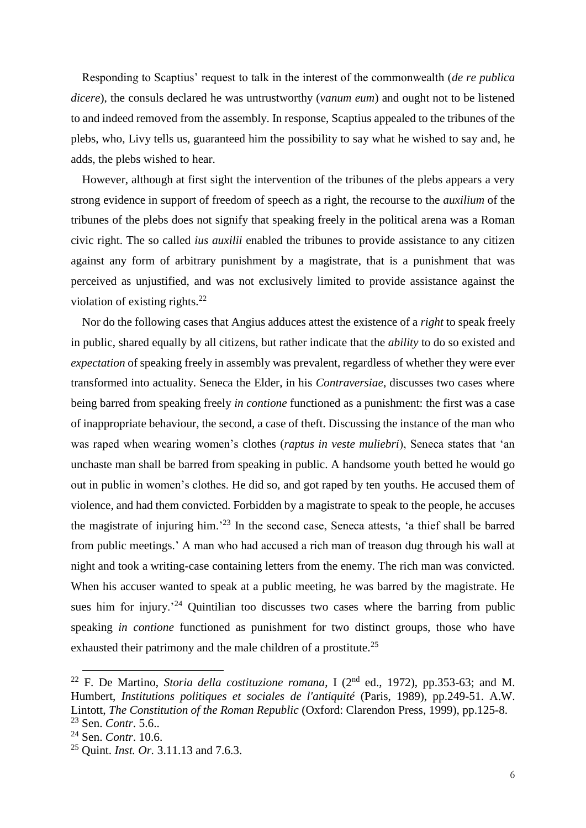Responding to Scaptius' request to talk in the interest of the commonwealth (*de re publica dicere*), the consuls declared he was untrustworthy (*vanum eum*) and ought not to be listened to and indeed removed from the assembly. In response, Scaptius appealed to the tribunes of the plebs, who, Livy tells us, guaranteed him the possibility to say what he wished to say and, he adds, the plebs wished to hear.

However, although at first sight the intervention of the tribunes of the plebs appears a very strong evidence in support of freedom of speech as a right, the recourse to the *auxilium* of the tribunes of the plebs does not signify that speaking freely in the political arena was a Roman civic right. The so called *ius auxilii* enabled the tribunes to provide assistance to any citizen against any form of arbitrary punishment by a magistrate, that is a punishment that was perceived as unjustified, and was not exclusively limited to provide assistance against the violation of existing rights. $^{22}$ 

Nor do the following cases that Angius adduces attest the existence of a *right* to speak freely in public, shared equally by all citizens, but rather indicate that the *ability* to do so existed and *expectation* of speaking freely in assembly was prevalent, regardless of whether they were ever transformed into actuality. Seneca the Elder, in his *Contraversiae*, discusses two cases where being barred from speaking freely *in contione* functioned as a punishment: the first was a case of inappropriate behaviour, the second, a case of theft. Discussing the instance of the man who was raped when wearing women's clothes (*raptus in veste muliebri*), Seneca states that 'an unchaste man shall be barred from speaking in public. A handsome youth betted he would go out in public in women's clothes. He did so, and got raped by ten youths. He accused them of violence, and had them convicted. Forbidden by a magistrate to speak to the people, he accuses the magistrate of injuring him.'<sup>23</sup> In the second case, Seneca attests, 'a thief shall be barred from public meetings.' A man who had accused a rich man of treason dug through his wall at night and took a writing-case containing letters from the enemy. The rich man was convicted. When his accuser wanted to speak at a public meeting, he was barred by the magistrate. He sues him for injury.<sup> $24$ </sup> Quintilian too discusses two cases where the barring from public speaking *in contione* functioned as punishment for two distinct groups, those who have exhausted their patrimony and the male children of a prostitute.<sup>25</sup>

<sup>&</sup>lt;sup>22</sup> F. De Martino, *Storia della costituzione romana*, I ( $2<sup>nd</sup>$  ed., 1972), pp.353-63; and M. Humbert, *Institutions politiques et sociales de l'antiquité* (Paris, 1989), pp.249-51. A.W. Lintott, *The Constitution of the Roman Republic* (Oxford: Clarendon Press, 1999), pp.125-8. <sup>23</sup> Sen. *Contr*. 5.6..

<sup>24</sup> Sen. *Contr*. 10.6.

<sup>25</sup> Quint. *Inst. Or.* 3.11.13 and 7.6.3.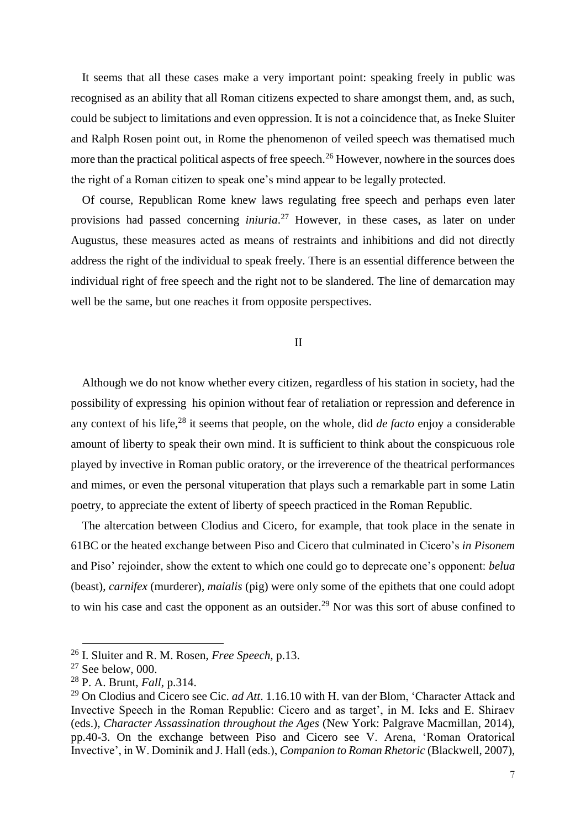It seems that all these cases make a very important point: speaking freely in public was recognised as an ability that all Roman citizens expected to share amongst them, and, as such, could be subject to limitations and even oppression. It is not a coincidence that, as Ineke Sluiter and Ralph Rosen point out, in Rome the phenomenon of veiled speech was thematised much more than the practical political aspects of free speech.<sup>26</sup> However, nowhere in the sources does the right of a Roman citizen to speak one's mind appear to be legally protected.

Of course, Republican Rome knew laws regulating free speech and perhaps even later provisions had passed concerning *iniuria*. <sup>27</sup> However, in these cases, as later on under Augustus, these measures acted as means of restraints and inhibitions and did not directly address the right of the individual to speak freely. There is an essential difference between the individual right of free speech and the right not to be slandered. The line of demarcation may well be the same, but one reaches it from opposite perspectives.

II

Although we do not know whether every citizen, regardless of his station in society, had the possibility of expressing his opinion without fear of retaliation or repression and deference in any context of his life,<sup>28</sup> it seems that people, on the whole, did *de facto* enjoy a considerable amount of liberty to speak their own mind. It is sufficient to think about the conspicuous role played by invective in Roman public oratory, or the irreverence of the theatrical performances and mimes, or even the personal vituperation that plays such a remarkable part in some Latin poetry, to appreciate the extent of liberty of speech practiced in the Roman Republic.

The altercation between Clodius and Cicero, for example, that took place in the senate in 61BC or the heated exchange between Piso and Cicero that culminated in Cicero's *in Pisonem* and Piso' rejoinder, show the extent to which one could go to deprecate one's opponent: *belua* (beast), *carnifex* (murderer), *maialis* (pig) were only some of the epithets that one could adopt to win his case and cast the opponent as an outsider.<sup>29</sup> Nor was this sort of abuse confined to

<sup>26</sup> I. Sluiter and R. M. Rosen, *Free Speech,* p.13.

 $27$  See below, 000.

<sup>28</sup> P. A. Brunt, *Fall*, p.314.

<sup>29</sup> On Clodius and Cicero see Cic. *ad Att*. 1.16.10 with H. van der Blom, 'Character Attack and Invective Speech in the Roman Republic: Cicero and as target', in M. Icks and E. Shiraev (eds.), *Character Assassination throughout the Ages* (New York: Palgrave Macmillan, 2014), pp.40-3. On the exchange between Piso and Cicero see V. Arena, 'Roman Oratorical Invective', in W. Dominik and J. Hall (eds.), *Companion to Roman Rhetoric* (Blackwell, 2007),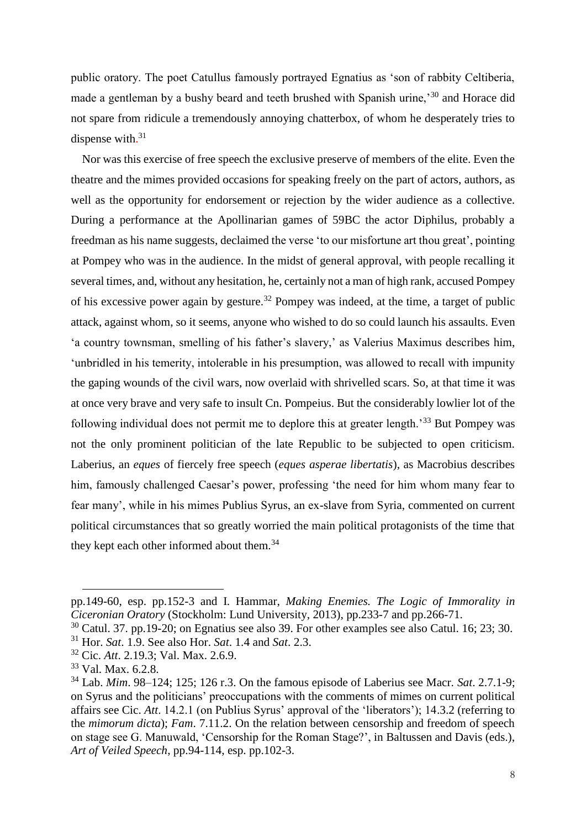public oratory. The poet Catullus famously portrayed Egnatius as 'son of rabbity Celtiberia, made a gentleman by a bushy beard and teeth brushed with Spanish urine,<sup>30</sup> and Horace did not spare from ridicule a tremendously annoying chatterbox, of whom he desperately tries to dispense with.<sup>31</sup>

Nor was this exercise of free speech the exclusive preserve of members of the elite. Even the theatre and the mimes provided occasions for speaking freely on the part of actors, authors, as well as the opportunity for endorsement or rejection by the wider audience as a collective. During a performance at the Apollinarian games of 59BC the actor Diphilus, probably a freedman as his name suggests, declaimed the verse 'to our misfortune art thou great', pointing at Pompey who was in the audience. In the midst of general approval, with people recalling it several times, and, without any hesitation, he, certainly not a man of high rank, accused Pompey of his excessive power again by gesture.<sup>32</sup> Pompey was indeed, at the time, a target of public attack, against whom, so it seems, anyone who wished to do so could launch his assaults. Even 'a country townsman, smelling of his father's slavery,' as Valerius Maximus describes him, 'unbridled in his temerity, intolerable in his presumption, was allowed to recall with impunity the gaping wounds of the civil wars, now overlaid with shrivelled scars. So, at that time it was at once very brave and very safe to insult Cn. Pompeius. But the considerably lowlier lot of the following individual does not permit me to deplore this at greater length.'<sup>33</sup> But Pompey was not the only prominent politician of the late Republic to be subjected to open criticism. Laberius, an *eques* of fiercely free speech (*eques asperae libertatis*), as Macrobius describes him, famously challenged Caesar's power, professing 'the need for him whom many fear to fear many', while in his mimes Publius Syrus, an ex-slave from Syria, commented on current political circumstances that so greatly worried the main political protagonists of the time that they kept each other informed about them.<sup>34</sup>

pp.149-60, esp. pp.152-3 and I. Hammar, *Making Enemies. The Logic of Immorality in Ciceronian Oratory* (Stockholm: Lund University, 2013), pp.233-7 and pp.266-71.

 $30$  Catul. 37. pp.19-20; on Egnatius see also 39. For other examples see also Catul. 16; 23; 30. <sup>31</sup> Hor. *Sat*. 1.9. See also Hor. *Sat*. 1.4 and *Sat*. 2.3.

<sup>32</sup> Cic. *Att*. 2.19.3; Val. Max. 2.6.9.

<sup>33</sup> Val. Max. 6.2.8.

<sup>34</sup> Lab. *Mim*. 98–124; 125; 126 r.3. On the famous episode of Laberius see Macr. *Sat*. 2.7.1-9; on Syrus and the politicians' preoccupations with the comments of mimes on current political affairs see Cic. *Att*. 14.2.1 (on Publius Syrus' approval of the 'liberators'); 14.3.2 (referring to the *mimorum dicta*); *Fam*. 7.11.2. On the relation between censorship and freedom of speech on stage see G. Manuwald, 'Censorship for the Roman Stage?', in Baltussen and Davis (eds.), *Art of Veiled Speech*, pp.94-114, esp. pp.102-3.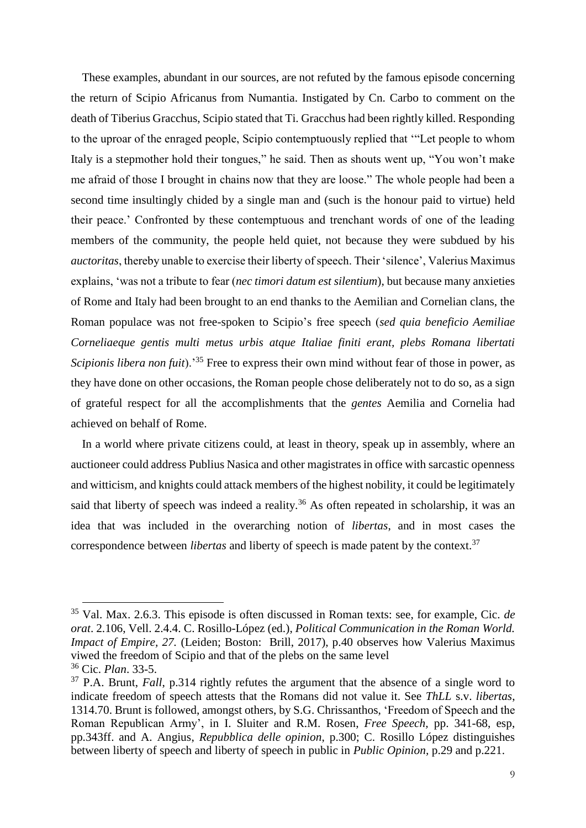These examples, abundant in our sources, are not refuted by the famous episode concerning the return of Scipio Africanus from Numantia. Instigated by Cn. Carbo to comment on the death of Tiberius Gracchus, Scipio stated that Ti. Gracchus had been rightly killed. Responding to the uproar of the enraged people, Scipio contemptuously replied that '"Let people to whom Italy is a stepmother hold their tongues," he said. Then as shouts went up, "You won't make me afraid of those I brought in chains now that they are loose." The whole people had been a second time insultingly chided by a single man and (such is the honour paid to virtue) held their peace.' Confronted by these contemptuous and trenchant words of one of the leading members of the community, the people held quiet, not because they were subdued by his *auctoritas*, thereby unable to exercise their liberty of speech. Their 'silence', Valerius Maximus explains, 'was not a tribute to fear (*nec timori datum est silentium*), but because many anxieties of Rome and Italy had been brought to an end thanks to the Aemilian and Cornelian clans, the Roman populace was not free-spoken to Scipio's free speech (*sed quia beneficio Aemiliae Corneliaeque gentis multi metus urbis atque Italiae finiti erant, plebs Romana libertati Scipionis libera non fuit*).'<sup>35</sup> Free to express their own mind without fear of those in power, as they have done on other occasions, the Roman people chose deliberately not to do so, as a sign of grateful respect for all the accomplishments that the *gentes* Aemilia and Cornelia had achieved on behalf of Rome.

In a world where private citizens could, at least in theory, speak up in assembly, where an auctioneer could address Publius Nasica and other magistrates in office with sarcastic openness and witticism, and knights could attack members of the highest nobility, it could be legitimately said that liberty of speech was indeed a reality.<sup>36</sup> As often repeated in scholarship, it was an idea that was included in the overarching notion of *libertas*, and in most cases the correspondence between *libertas* and liberty of speech is made patent by the context.<sup>37</sup>

<sup>35</sup> Val. Max. 2.6.3. This episode is often discussed in Roman texts: see, for example, Cic. *de orat*. 2.106, Vell. 2.4.4. C. Rosillo-López (ed.), *Political Communication in the Roman World. Impact of Empire, 27.* (Leiden; Boston: Brill, 2017), p.40 observes how Valerius Maximus viwed the freedom of Scipio and that of the plebs on the same level

<sup>36</sup> Cic. *Plan*. 33-5.

<sup>&</sup>lt;sup>37</sup> P.A. Brunt, *Fall*, p.314 rightly refutes the argument that the absence of a single word to indicate freedom of speech attests that the Romans did not value it. See *ThLL* s.v. *libertas*, 1314.70. Brunt is followed, amongst others, by S.G. Chrissanthos, 'Freedom of Speech and the Roman Republican Army', in I. Sluiter and R.M. Rosen, *Free Speech,* pp. 341-68, esp, pp.343ff. and A. Angius, *Repubblica delle opinion*, p.300; C. Rosillo López distinguishes between liberty of speech and liberty of speech in public in *Public Opinion,* p.29 and p.221.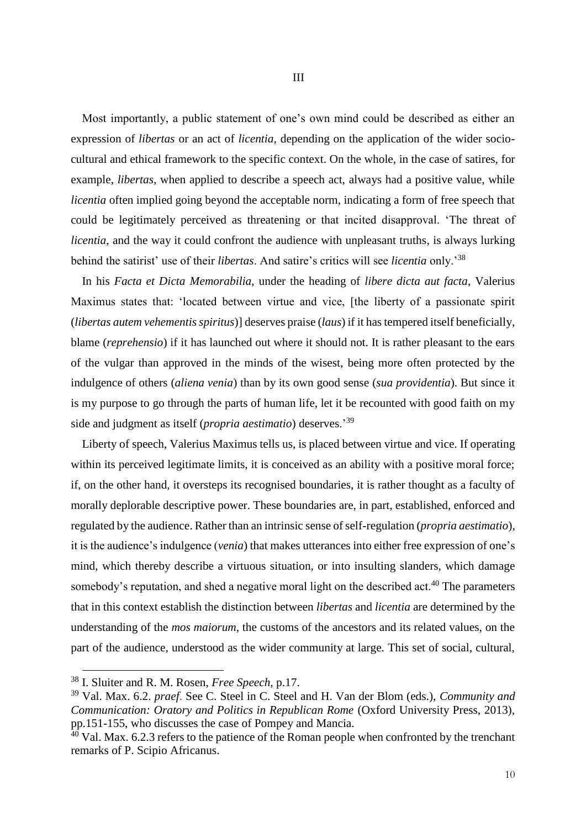Most importantly, a public statement of one's own mind could be described as either an expression of *libertas* or an act of *licentia*, depending on the application of the wider sociocultural and ethical framework to the specific context. On the whole, in the case of satires, for example, *libertas*, when applied to describe a speech act, always had a positive value, while *licentia* often implied going beyond the acceptable norm, indicating a form of free speech that could be legitimately perceived as threatening or that incited disapproval. 'The threat of *licentia*, and the way it could confront the audience with unpleasant truths, is always lurking behind the satirist' use of their *libertas*. And satire's critics will see *licentia* only.'<sup>38</sup>

In his *Facta et Dicta Memorabilia*, under the heading of *libere dicta aut facta*, Valerius Maximus states that: 'located between virtue and vice, [the liberty of a passionate spirit (*libertas autem vehementis spiritus*)] deserves praise (*laus*) if it has tempered itself beneficially, blame (*reprehensio*) if it has launched out where it should not. It is rather pleasant to the ears of the vulgar than approved in the minds of the wisest, being more often protected by the indulgence of others (*aliena venia*) than by its own good sense (*sua providentia*). But since it is my purpose to go through the parts of human life, let it be recounted with good faith on my side and judgment as itself (*propria aestimatio*) deserves.'<sup>39</sup>

Liberty of speech, Valerius Maximus tells us, is placed between virtue and vice. If operating within its perceived legitimate limits, it is conceived as an ability with a positive moral force; if, on the other hand, it oversteps its recognised boundaries, it is rather thought as a faculty of morally deplorable descriptive power. These boundaries are, in part, established, enforced and regulated by the audience. Rather than an intrinsic sense of self-regulation (*propria aestimatio*), it is the audience's indulgence (*venia*) that makes utterances into either free expression of one's mind, which thereby describe a virtuous situation, or into insulting slanders, which damage somebody's reputation, and shed a negative moral light on the described act.<sup>40</sup> The parameters that in this context establish the distinction between *libertas* and *licentia* are determined by the understanding of the *mos maiorum*, the customs of the ancestors and its related values, on the part of the audience, understood as the wider community at large. This set of social, cultural,

<sup>38</sup> I. Sluiter and R. M. Rosen, *Free Speech*, p.17.

<sup>39</sup> Val. Max. 6.2. *praef*. See C. Steel in C. Steel and H. Van der Blom (eds.), *Community and Communication: Oratory and Politics in Republican Rome (Oxford University Press, 2013),* pp.151-155, who discusses the case of Pompey and Mancia.

 $\frac{40}{40}$  Val. Max. 6.2.3 refers to the patience of the Roman people when confronted by the trenchant remarks of P. Scipio Africanus.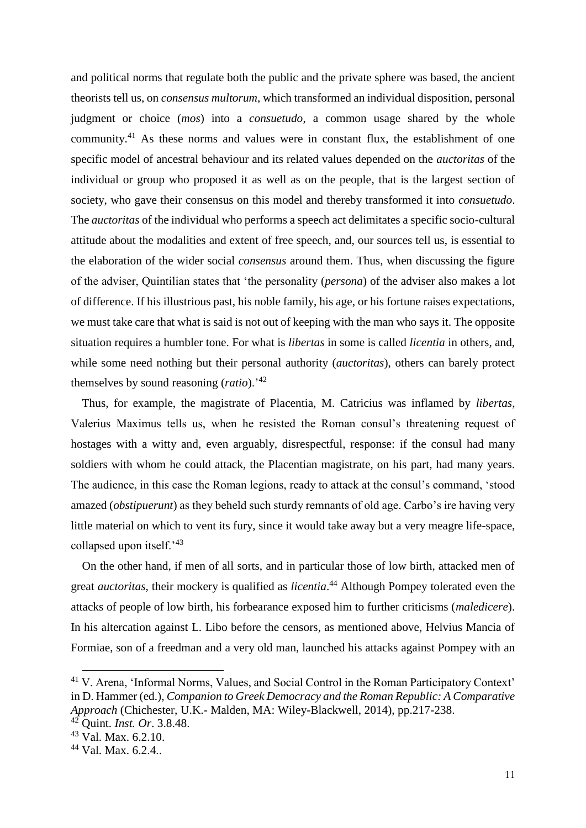and political norms that regulate both the public and the private sphere was based, the ancient theorists tell us, on *consensus multorum*, which transformed an individual disposition, personal judgment or choice (*mos*) into a *consuetudo*, a common usage shared by the whole community.<sup>41</sup> As these norms and values were in constant flux, the establishment of one specific model of ancestral behaviour and its related values depended on the *auctoritas* of the individual or group who proposed it as well as on the people, that is the largest section of society, who gave their consensus on this model and thereby transformed it into *consuetudo*. The *auctoritas* of the individual who performs a speech act delimitates a specific socio-cultural attitude about the modalities and extent of free speech, and, our sources tell us, is essential to the elaboration of the wider social *consensus* around them. Thus, when discussing the figure of the adviser, Quintilian states that 'the personality (*persona*) of the adviser also makes a lot of difference. If his illustrious past, his noble family, his age, or his fortune raises expectations, we must take care that what is said is not out of keeping with the man who says it. The opposite situation requires a humbler tone. For what is *libertas* in some is called *licentia* in others, and, while some need nothing but their personal authority (*auctoritas*), others can barely protect themselves by sound reasoning (*ratio*).'<sup>42</sup>

Thus, for example, the magistrate of Placentia, M. Catricius was inflamed by *libertas*, Valerius Maximus tells us, when he resisted the Roman consul's threatening request of hostages with a witty and, even arguably, disrespectful, response: if the consul had many soldiers with whom he could attack, the Placentian magistrate, on his part, had many years. The audience, in this case the Roman legions, ready to attack at the consul's command, 'stood amazed (*obstipuerunt*) as they beheld such sturdy remnants of old age. Carbo's ire having very little material on which to vent its fury, since it would take away but a very meagre life-space, collapsed upon itself.'43

On the other hand, if men of all sorts, and in particular those of low birth, attacked men of great *auctoritas*, their mockery is qualified as *licentia*. <sup>44</sup> Although Pompey tolerated even the attacks of people of low birth, his forbearance exposed him to further criticisms (*maledicere*). In his altercation against L. Libo before the censors, as mentioned above, Helvius Mancia of Formiae, son of a freedman and a very old man, launched his attacks against Pompey with an

<sup>41</sup> V. Arena, 'Informal Norms, Values, and Social Control in the Roman Participatory Context' in D. Hammer (ed.), *Companion to Greek Democracy and the Roman Republic: A Comparative Approach* (Chichester, U.K.- Malden, MA: Wiley-Blackwell, 2014), pp.217-238.

<sup>42</sup> Quint. *Inst. Or*. 3.8.48.

<sup>43</sup> Val. Max. 6.2.10.

<sup>44</sup> Val. Max. 6.2.4..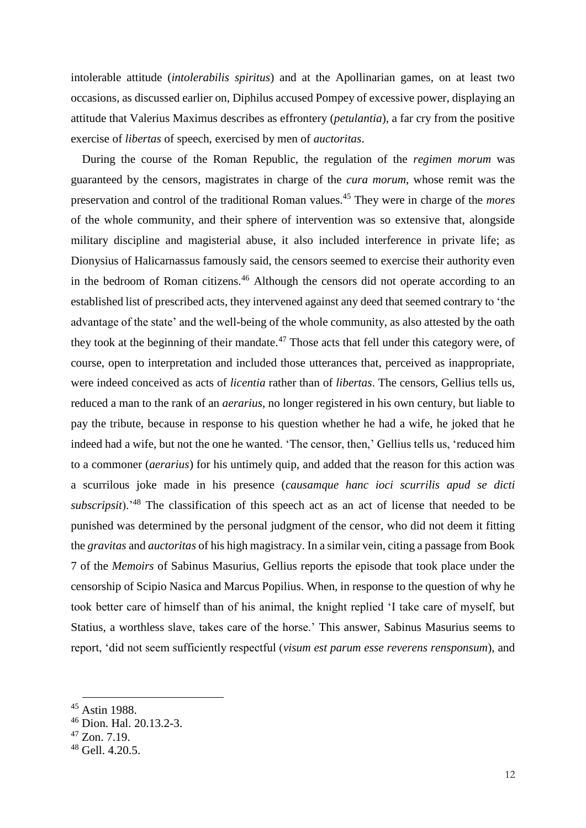intolerable attitude (*intolerabilis spiritus*) and at the Apollinarian games, on at least two occasions, as discussed earlier on, Diphilus accused Pompey of excessive power, displaying an attitude that Valerius Maximus describes as effrontery (*petulantia*), a far cry from the positive exercise of *libertas* of speech, exercised by men of *auctoritas*.

During the course of the Roman Republic, the regulation of the *regimen morum* was guaranteed by the censors, magistrates in charge of the *cura morum*, whose remit was the preservation and control of the traditional Roman values.<sup>45</sup> They were in charge of the *mores* of the whole community, and their sphere of intervention was so extensive that, alongside military discipline and magisterial abuse, it also included interference in private life; as Dionysius of Halicarnassus famously said, the censors seemed to exercise their authority even in the bedroom of Roman citizens.<sup>46</sup> Although the censors did not operate according to an established list of prescribed acts, they intervened against any deed that seemed contrary to 'the advantage of the state' and the well-being of the whole community, as also attested by the oath they took at the beginning of their mandate.<sup>47</sup> Those acts that fell under this category were, of course, open to interpretation and included those utterances that, perceived as inappropriate, were indeed conceived as acts of *licentia* rather than of *libertas*. The censors, Gellius tells us, reduced a man to the rank of an *aerarius*, no longer registered in his own century, but liable to pay the tribute, because in response to his question whether he had a wife, he joked that he indeed had a wife, but not the one he wanted. 'The censor, then,' Gellius tells us, 'reduced him to a commoner (*aerarius*) for his untimely quip, and added that the reason for this action was a scurrilous joke made in his presence (*causamque hanc ioci scurrilis apud se dicti subscripsit*).'<sup>48</sup> The classification of this speech act as an act of license that needed to be punished was determined by the personal judgment of the censor, who did not deem it fitting the *gravitas* and *auctoritas* of his high magistracy. In a similar vein, citing a passage from Book 7 of the *Memoirs* of Sabinus Masurius, Gellius reports the episode that took place under the censorship of Scipio Nasica and Marcus Popilius. When, in response to the question of why he took better care of himself than of his animal, the knight replied 'I take care of myself, but Statius, a worthless slave, takes care of the horse.' This answer, Sabinus Masurius seems to report, 'did not seem sufficiently respectful (*visum est parum esse reverens rensponsum*), and

 $\ddot{\phantom{a}}$ 

<sup>45</sup> Astin 1988.

<sup>46</sup> Dion. Hal. 20.13.2-3.

<sup>47</sup> Zon. 7.19.

 $48$  Gell. 4.20.5.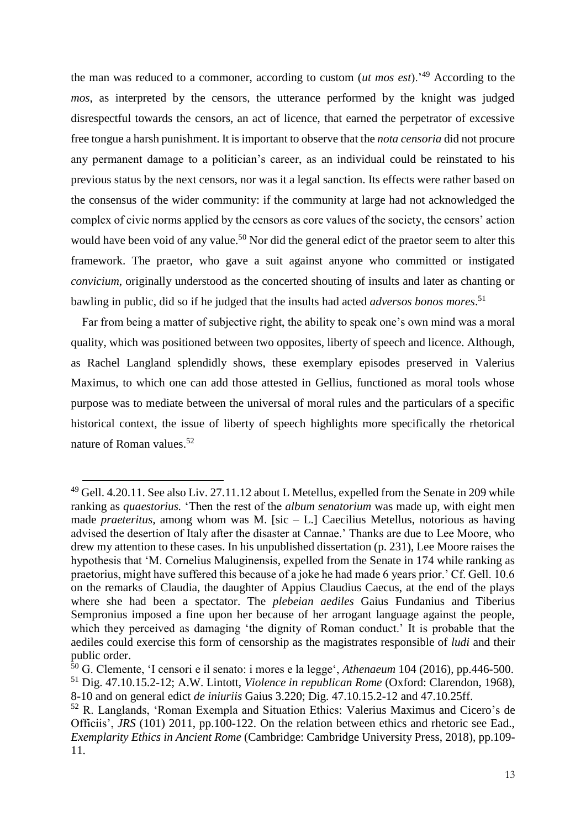the man was reduced to a commoner, according to custom (*ut mos est*).'<sup>49</sup> According to the *mos*, as interpreted by the censors, the utterance performed by the knight was judged disrespectful towards the censors, an act of licence, that earned the perpetrator of excessive free tongue a harsh punishment. It is important to observe that the *nota censoria* did not procure any permanent damage to a politician's career, as an individual could be reinstated to his previous status by the next censors, nor was it a legal sanction. Its effects were rather based on the consensus of the wider community: if the community at large had not acknowledged the complex of civic norms applied by the censors as core values of the society, the censors' action would have been void of any value.<sup>50</sup> Nor did the general edict of the praetor seem to alter this framework. The praetor, who gave a suit against anyone who committed or instigated *convicium*, originally understood as the concerted shouting of insults and later as chanting or bawling in public, did so if he judged that the insults had acted *adversos bonos mores*. 51

Far from being a matter of subjective right, the ability to speak one's own mind was a moral quality, which was positioned between two opposites, liberty of speech and licence. Although, as Rachel Langland splendidly shows, these exemplary episodes preserved in Valerius Maximus, to which one can add those attested in Gellius, functioned as moral tools whose purpose was to mediate between the universal of moral rules and the particulars of a specific historical context, the issue of liberty of speech highlights more specifically the rhetorical nature of Roman values.<sup>52</sup>

 $\ddot{\phantom{a}}$ 

<sup>49</sup> Gell. 4.20.11. See also Liv. 27.11.12 about L Metellus, expelled from the Senate in 209 while ranking as *quaestorius.* 'Then the rest of the *album senatorium* was made up, with eight men made *praeteritus,* among whom was M. [sic – L.] Caecilius Metellus, notorious as having advised the desertion of Italy after the disaster at Cannae.' Thanks are due to Lee Moore, who drew my attention to these cases. In his unpublished dissertation (p. 231), Lee Moore raises the hypothesis that 'M. Cornelius Maluginensis, expelled from the Senate in 174 while ranking as praetorius, might have suffered this because of a joke he had made 6 years prior.' Cf. Gell. 10.6 on the remarks of Claudia, the daughter of Appius Claudius Caecus, at the end of the plays where she had been a spectator. The *plebeian aediles* Gaius Fundanius and Tiberius Sempronius imposed a fine upon her because of her arrogant language against the people, which they perceived as damaging 'the dignity of Roman conduct.' It is probable that the aediles could exercise this form of censorship as the magistrates responsible of *ludi* and their public order.

<sup>50</sup> G. Clemente, 'I censori e il senato: i mores e la legge', *Athenaeum* 104 (2016), pp.446-500. <sup>51</sup> Dig. 47.10.15.2-12; A.W. Lintott, *Violence in republican Rome* (Oxford: Clarendon, 1968),

<sup>8-10</sup> and on general edict *de iniuriis* Gaius 3.220; Dig. 47.10.15.2-12 and 47.10.25ff.

<sup>52</sup> R. Langlands, 'Roman Exempla and Situation Ethics: Valerius Maximus and Cicero's de Officiis', *JRS* (101) 2011, pp.100-122. On the relation between ethics and rhetoric see Ead., *Exemplarity Ethics in Ancient Rome* (Cambridge: Cambridge University Press, 2018), pp.109- 11.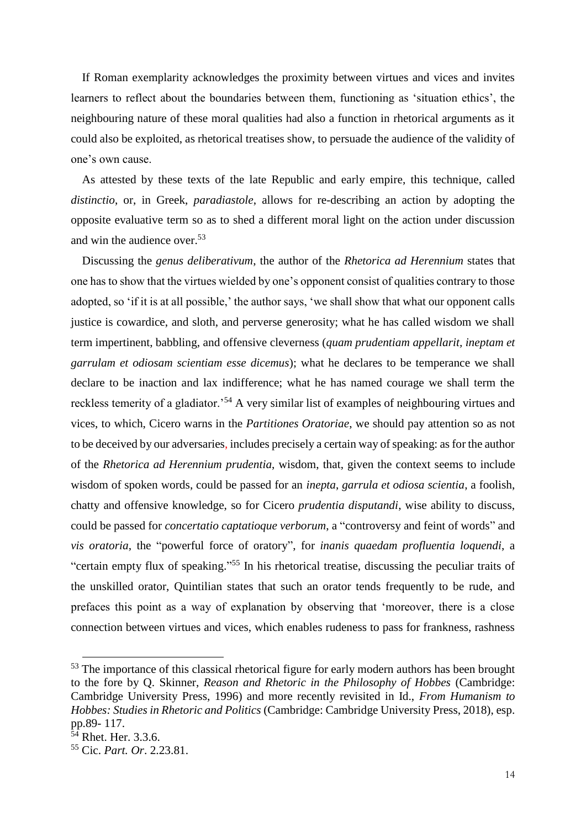If Roman exemplarity acknowledges the proximity between virtues and vices and invites learners to reflect about the boundaries between them, functioning as 'situation ethics', the neighbouring nature of these moral qualities had also a function in rhetorical arguments as it could also be exploited, as rhetorical treatises show, to persuade the audience of the validity of one's own cause.

As attested by these texts of the late Republic and early empire, this technique, called *distinctio*, or, in Greek, *paradiastole*, allows for re-describing an action by adopting the opposite evaluative term so as to shed a different moral light on the action under discussion and win the audience over.<sup>53</sup>

Discussing the *genus deliberativum*, the author of the *Rhetorica ad Herennium* states that one has to show that the virtues wielded by one's opponent consist of qualities contrary to those adopted, so 'if it is at all possible,' the author says, 'we shall show that what our opponent calls justice is cowardice, and sloth, and perverse generosity; what he has called wisdom we shall term impertinent, babbling, and offensive cleverness (*quam prudentiam appellarit, ineptam et garrulam et odiosam scientiam esse dicemus*); what he declares to be temperance we shall declare to be inaction and lax indifference; what he has named courage we shall term the reckless temerity of a gladiator.'<sup>54</sup> A very similar list of examples of neighbouring virtues and vices, to which, Cicero warns in the *Partitiones Oratoriae*, we should pay attention so as not to be deceived by our adversaries, includes precisely a certain way of speaking: as for the author of the *Rhetorica ad Herennium prudentia*, wisdom, that, given the context seems to include wisdom of spoken words, could be passed for an *inepta*, *garrula et odiosa scientia*, a foolish, chatty and offensive knowledge, so for Cicero *prudentia disputandi*, wise ability to discuss, could be passed for *concertatio captatioque verborum*, a "controversy and feint of words" and *vis oratoria*, the "powerful force of oratory", for *inanis quaedam profluentia loquendi*, a "certain empty flux of speaking." <sup>55</sup> In his rhetorical treatise, discussing the peculiar traits of the unskilled orator, Quintilian states that such an orator tends frequently to be rude, and prefaces this point as a way of explanation by observing that 'moreover, there is a close connection between virtues and vices, which enables rudeness to pass for frankness, rashness

<sup>&</sup>lt;sup>53</sup> The importance of this classical rhetorical figure for early modern authors has been brought to the fore by Q. Skinner, *Reason and Rhetoric in the Philosophy of Hobbes* (Cambridge: Cambridge University Press, 1996) and more recently revisited in Id., *From Humanism to Hobbes: Studies in Rhetoric and Politics* (Cambridge: Cambridge University Press, 2018), esp. pp.89- 117.

 $54$  Rhet. Her. 3.3.6.

<sup>55</sup> Cic. *Part. Or*. 2.23.81.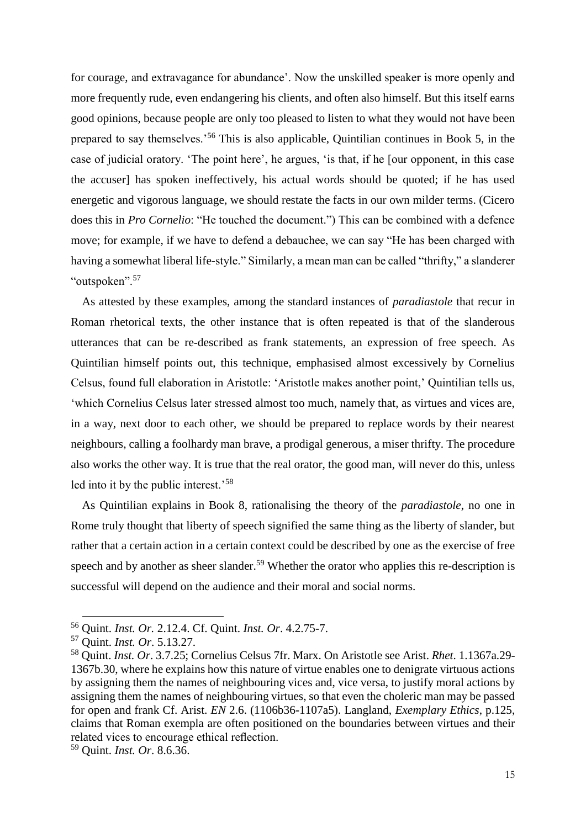for courage, and extravagance for abundance'. Now the unskilled speaker is more openly and more frequently rude, even endangering his clients, and often also himself. But this itself earns good opinions, because people are only too pleased to listen to what they would not have been prepared to say themselves.'<sup>56</sup> This is also applicable, Quintilian continues in Book 5, in the case of judicial oratory. 'The point here', he argues, 'is that, if he [our opponent, in this case the accuser] has spoken ineffectively, his actual words should be quoted; if he has used energetic and vigorous language, we should restate the facts in our own milder terms. (Cicero does this in *Pro Cornelio*: "He touched the document.") This can be combined with a defence move; for example, if we have to defend a debauchee, we can say "He has been charged with having a somewhat liberal life-style." Similarly, a mean man can be called "thrifty," a slanderer "outspoken".<sup>57</sup>

As attested by these examples, among the standard instances of *paradiastole* that recur in Roman rhetorical texts, the other instance that is often repeated is that of the slanderous utterances that can be re-described as frank statements, an expression of free speech. As Quintilian himself points out, this technique, emphasised almost excessively by Cornelius Celsus, found full elaboration in Aristotle: 'Aristotle makes another point,' Quintilian tells us, 'which Cornelius Celsus later stressed almost too much, namely that, as virtues and vices are, in a way, next door to each other, we should be prepared to replace words by their nearest neighbours, calling a foolhardy man brave, a prodigal generous, a miser thrifty. The procedure also works the other way. It is true that the real orator, the good man, will never do this, unless led into it by the public interest.'<sup>58</sup>

As Quintilian explains in Book 8, rationalising the theory of the *paradiastole*, no one in Rome truly thought that liberty of speech signified the same thing as the liberty of slander, but rather that a certain action in a certain context could be described by one as the exercise of free speech and by another as sheer slander.<sup>59</sup> Whether the orator who applies this re-description is successful will depend on the audience and their moral and social norms.

 $\ddot{\phantom{a}}$ 

<sup>56</sup> Quint. *Inst. Or.* 2.12.4. Cf. Quint. *Inst. Or*. 4.2.75-7.

<sup>57</sup> Quint. *Inst. Or*. 5.13.27.

<sup>58</sup> Quint. *Inst. Or*. 3.7.25; Cornelius Celsus 7fr. Marx. On Aristotle see Arist. *Rhet*. 1.1367a.29- 1367b.30, where he explains how this nature of virtue enables one to denigrate virtuous actions by assigning them the names of neighbouring vices and, vice versa, to justify moral actions by assigning them the names of neighbouring virtues, so that even the choleric man may be passed for open and frank Cf. Arist. *EN* 2.6. (1106b36-1107a5). Langland, *Exemplary Ethics*, p.125, claims that Roman exempla are often positioned on the boundaries between virtues and their related vices to encourage ethical reflection.

<sup>59</sup> Quint. *Inst. Or*. 8.6.36.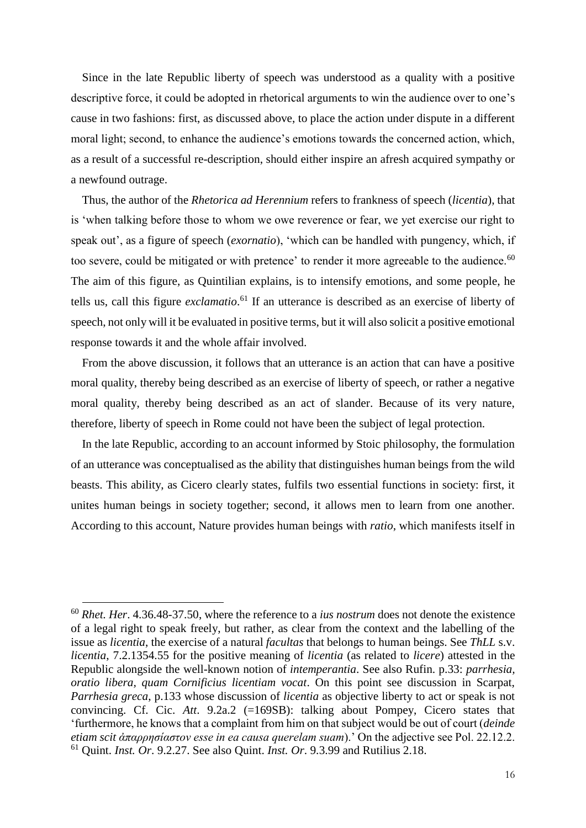Since in the late Republic liberty of speech was understood as a quality with a positive descriptive force, it could be adopted in rhetorical arguments to win the audience over to one's cause in two fashions: first, as discussed above, to place the action under dispute in a different moral light; second, to enhance the audience's emotions towards the concerned action, which, as a result of a successful re-description, should either inspire an afresh acquired sympathy or a newfound outrage.

Thus, the author of the *Rhetorica ad Herennium* refers to frankness of speech (*licentia*), that is 'when talking before those to whom we owe reverence or fear, we yet exercise our right to speak out', as a figure of speech (*exornatio*), 'which can be handled with pungency, which, if too severe, could be mitigated or with pretence' to render it more agreeable to the audience.<sup>60</sup> The aim of this figure, as Quintilian explains, is to intensify emotions, and some people, he tells us, call this figure *exclamatio*. <sup>61</sup> If an utterance is described as an exercise of liberty of speech, not only will it be evaluated in positive terms, but it will also solicit a positive emotional response towards it and the whole affair involved.

From the above discussion, it follows that an utterance is an action that can have a positive moral quality, thereby being described as an exercise of liberty of speech, or rather a negative moral quality, thereby being described as an act of slander. Because of its very nature, therefore, liberty of speech in Rome could not have been the subject of legal protection.

In the late Republic, according to an account informed by Stoic philosophy, the formulation of an utterance was conceptualised as the ability that distinguishes human beings from the wild beasts. This ability, as Cicero clearly states, fulfils two essential functions in society: first, it unites human beings in society together; second, it allows men to learn from one another. According to this account, Nature provides human beings with *ratio*, which manifests itself in

<sup>60</sup> *Rhet. Her*. 4.36.48-37.50, where the reference to a *ius nostrum* does not denote the existence of a legal right to speak freely, but rather, as clear from the context and the labelling of the issue as *licentia*, the exercise of a natural *facultas* that belongs to human beings. See *ThLL* s.v. *licentia*, 7.2.1354.55 for the positive meaning of *licentia* (as related to *licere*) attested in the Republic alongside the well-known notion of *intemperantia*. See also Rufin. p.33: *parrhesia, oratio libera, quam Cornificius licentiam vocat*. On this point see discussion in Scarpat, *Parrhesia greca*, p.133 whose discussion of *licentia* as objective liberty to act or speak is not convincing. Cf. Cic. *Att*. 9.2a.2 (=169SB): talking about Pompey, Cicero states that 'furthermore, he knows that a complaint from him on that subject would be out of court (*deinde etiam scit ἀπαρρησίαστον esse in ea causa querelam suam*).' On the adjective see Pol. 22.12.2. <sup>61</sup> Quint. *Inst. Or*. 9.2.27. See also Quint. *Inst. Or*. 9.3.99 and Rutilius 2.18.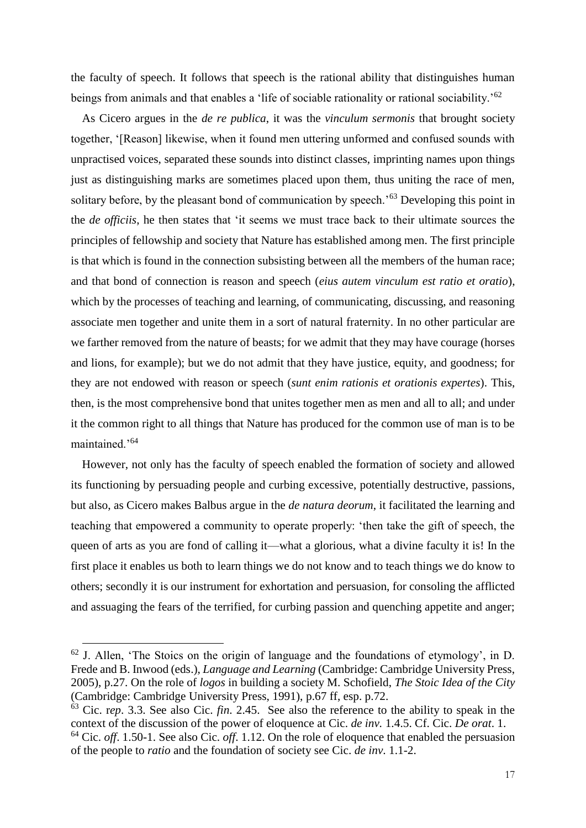the faculty of speech. It follows that speech is the rational ability that distinguishes human beings from animals and that enables a 'life of sociable rationality or rational sociability.'<sup>62</sup>

As Cicero argues in the *de re publica*, it was the *vinculum sermonis* that brought society together, '[Reason] likewise, when it found men uttering unformed and confused sounds with unpractised voices, separated these sounds into distinct classes, imprinting names upon things just as distinguishing marks are sometimes placed upon them, thus uniting the race of men, solitary before, by the pleasant bond of communication by speech.<sup>563</sup> Developing this point in the *de officiis*, he then states that 'it seems we must trace back to their ultimate sources the principles of fellowship and society that Nature has established among men. The first principle is that which is found in the connection subsisting between all the members of the human race; and that bond of connection is reason and speech (*eius autem vinculum est ratio et oratio*), which by the processes of teaching and learning, of communicating, discussing, and reasoning associate men together and unite them in a sort of natural fraternity. In no other particular are we farther removed from the nature of beasts; for we admit that they may have courage (horses and lions, for example); but we do not admit that they have justice, equity, and goodness; for they are not endowed with reason or speech (*sunt enim rationis et orationis expertes*). This, then, is the most comprehensive bond that unites together men as men and all to all; and under it the common right to all things that Nature has produced for the common use of man is to be maintained.'<sup>64</sup>

However, not only has the faculty of speech enabled the formation of society and allowed its functioning by persuading people and curbing excessive, potentially destructive, passions, but also, as Cicero makes Balbus argue in the *de natura deorum*, it facilitated the learning and teaching that empowered a community to operate properly: 'then take the gift of speech, the queen of arts as you are fond of calling it—what a glorious, what a divine faculty it is! In the first place it enables us both to learn things we do not know and to teach things we do know to others; secondly it is our instrument for exhortation and persuasion, for consoling the afflicted and assuaging the fears of the terrified, for curbing passion and quenching appetite and anger;

 $62$  J. Allen, 'The Stoics on the origin of language and the foundations of etymology', in D. Frede and B. Inwood (eds.), *Language and Learning* (Cambridge: Cambridge University Press, 2005), p.27. On the role of *logos* in building a society M. Schofield, *The Stoic Idea of the City* (Cambridge: Cambridge University Press, 1991), p.67 ff, esp. p.72.

<sup>63</sup> Cic. r*ep*. 3.3. See also Cic. *fin*. 2.45. See also the reference to the ability to speak in the context of the discussion of the power of eloquence at Cic. *de inv.* 1.4.5. Cf. Cic. *De orat*. 1. <sup>64</sup> Cic. *off*. 1.50-1. See also Cic. *off*. 1.12. On the role of eloquence that enabled the persuasion of the people to *ratio* and the foundation of society see Cic. *de inv*. 1.1-2.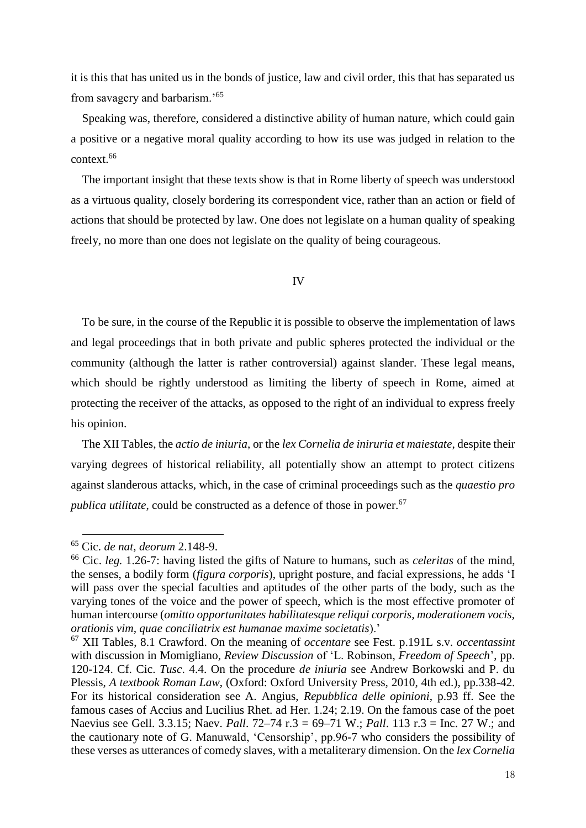it is this that has united us in the bonds of justice, law and civil order, this that has separated us from savagery and barbarism.'<sup>65</sup>

Speaking was, therefore, considered a distinctive ability of human nature, which could gain a positive or a negative moral quality according to how its use was judged in relation to the context.<sup>66</sup>

The important insight that these texts show is that in Rome liberty of speech was understood as a virtuous quality, closely bordering its correspondent vice, rather than an action or field of actions that should be protected by law. One does not legislate on a human quality of speaking freely, no more than one does not legislate on the quality of being courageous.

IV

To be sure, in the course of the Republic it is possible to observe the implementation of laws and legal proceedings that in both private and public spheres protected the individual or the community (although the latter is rather controversial) against slander. These legal means, which should be rightly understood as limiting the liberty of speech in Rome, aimed at protecting the receiver of the attacks, as opposed to the right of an individual to express freely his opinion.

The XII Tables, the *actio de iniuria*, or the *lex Cornelia de iniruria et maiestate*, despite their varying degrees of historical reliability, all potentially show an attempt to protect citizens against slanderous attacks, which, in the case of criminal proceedings such as the *quaestio pro publica utilitate*, could be constructed as a defence of those in power.<sup>67</sup>

<sup>65</sup> Cic. *de nat, deorum* 2.148-9.

<sup>66</sup> Cic. *leg.* 1.26-7: having listed the gifts of Nature to humans, such as *celeritas* of the mind, the senses, a bodily form (*figura corporis*), upright posture, and facial expressions, he adds 'I will pass over the special faculties and aptitudes of the other parts of the body, such as the varying tones of the voice and the power of speech, which is the most effective promoter of human intercourse (*omitto opportunitates habilitatesque reliqui corporis, moderationem vocis, orationis vim, quae conciliatrix est humanae maxime societatis*).'

<sup>67</sup> XII Tables, 8.1 Crawford. On the meaning of *occentare* see Fest. p.191L s.v. *occentassint* with discussion in Momigliano, *Review Discussion* of 'L. Robinson, *Freedom of Speech*', pp. 120-124. Cf. Cic. *Tusc*. 4.4. On the procedure *de iniuria* see Andrew Borkowski and P. du Plessis, *A textbook Roman Law*, (Oxford: Oxford University Press, 2010, 4th ed.), pp.338-42. For its historical consideration see A. Angius, *Repubblica delle opinioni*, p.93 ff. See the famous cases of Accius and Lucilius Rhet. ad Her. 1.24; 2.19. On the famous case of the poet Naevius see Gell. 3.3.15; Naev. *Pall*. 72–74 r.3 = 69–71 W.; *Pall*. 113 r.3 = Inc. 27 W.; and the cautionary note of G. Manuwald, 'Censorship', pp.96-7 who considers the possibility of these verses as utterances of comedy slaves, with a metaliterary dimension. On the *lex Cornelia*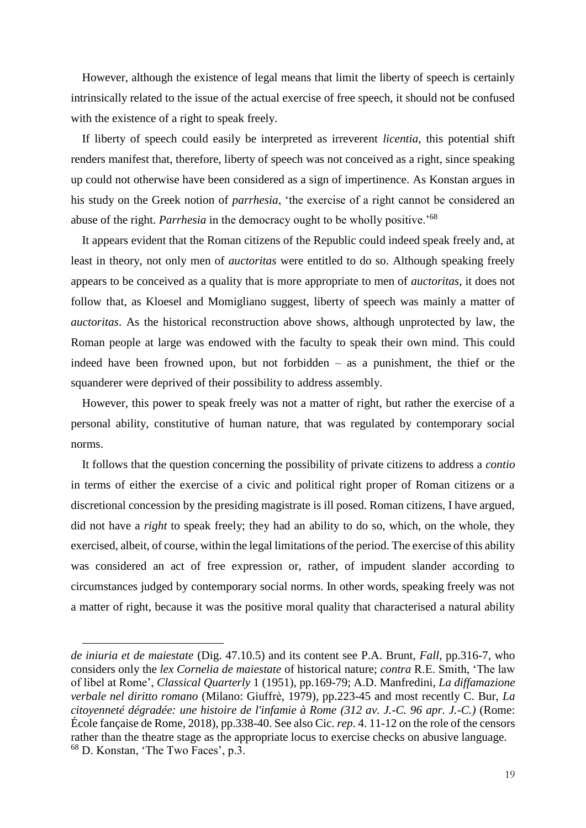However, although the existence of legal means that limit the liberty of speech is certainly intrinsically related to the issue of the actual exercise of free speech, it should not be confused with the existence of a right to speak freely.

If liberty of speech could easily be interpreted as irreverent *licentia*, this potential shift renders manifest that, therefore, liberty of speech was not conceived as a right, since speaking up could not otherwise have been considered as a sign of impertinence. As Konstan argues in his study on the Greek notion of *parrhesia*, 'the exercise of a right cannot be considered an abuse of the right. *Parrhesia* in the democracy ought to be wholly positive.'<sup>68</sup>

It appears evident that the Roman citizens of the Republic could indeed speak freely and, at least in theory, not only men of *auctoritas* were entitled to do so. Although speaking freely appears to be conceived as a quality that is more appropriate to men of *auctoritas*, it does not follow that, as Kloesel and Momigliano suggest, liberty of speech was mainly a matter of *auctoritas*. As the historical reconstruction above shows, although unprotected by law, the Roman people at large was endowed with the faculty to speak their own mind. This could indeed have been frowned upon, but not forbidden – as a punishment, the thief or the squanderer were deprived of their possibility to address assembly.

However, this power to speak freely was not a matter of right, but rather the exercise of a personal ability, constitutive of human nature, that was regulated by contemporary social norms.

It follows that the question concerning the possibility of private citizens to address a *contio* in terms of either the exercise of a civic and political right proper of Roman citizens or a discretional concession by the presiding magistrate is ill posed. Roman citizens, I have argued, did not have a *right* to speak freely; they had an ability to do so, which, on the whole, they exercised, albeit, of course, within the legal limitations of the period. The exercise of this ability was considered an act of free expression or, rather, of impudent slander according to circumstances judged by contemporary social norms. In other words, speaking freely was not a matter of right, because it was the positive moral quality that characterised a natural ability

*de iniuria et de maiestate* (Dig. 47.10.5) and its content see P.A. Brunt, *Fall*, pp.316-7, who considers only the *lex Cornelia de maiestate* of historical nature; *contra* R.E. Smith, 'The law of libel at Rome', *Classical Quarterly* 1 (1951), pp.169-79; A.D. Manfredini, *La diffamazione verbale nel diritto romano* (Milano: Giuffrè, 1979), pp.223-45 and most recently C. Bur, *La citoyenneté dégradée: une histoire de l'infamie à Rome (312 av. J.-C. 96 apr. J.-C.)* (Rome: École fançaise de Rome, 2018), pp.338-40. See also Cic. *rep*. 4. 11-12 on the role of the censors rather than the theatre stage as the appropriate locus to exercise checks on abusive language. <sup>68</sup> D. Konstan, 'The Two Faces', p.3.